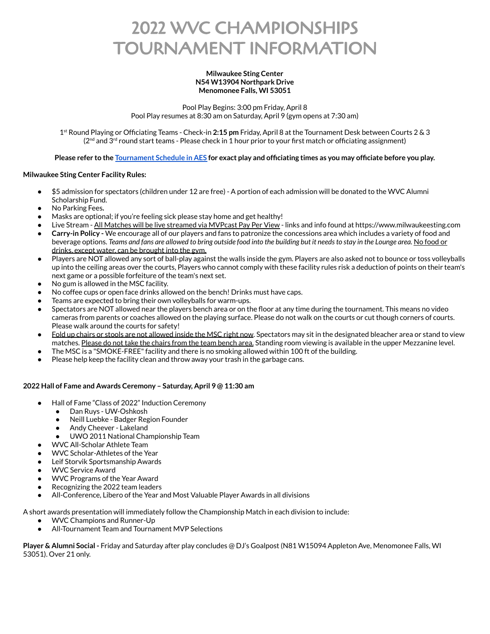# 2022 WVC CHAMPIONSHIPS TOURNAMENT INFORMATION

#### **Milwaukee Sting Center N54 W13904 Northpark Drive Menomonee Falls, WI 53051**

Pool Play Begins: 3:00 pm Friday, April 8 Pool Play resumes at 8:30 am on Saturday, April 9 (gym opens at 7:30 am)

1 st Round Playing or Officiating Teams - Check-in **2:15 pm** Friday, April 8 at the Tournament Desk between Courts 2 & 3 (2<sup>nd</sup> and 3<sup>rd</sup> round start teams - Please check in 1 hour prior to your first match or officiating assignment)

## Please refer to the [Tournament](https://l.facebook.com/l.php?u=https%3A%2F%2Fresults.advancedeventsystems.com%2Fevent%2FMjAyMl9XVkNfQ2hhbXBpb25zaGlwcw2%2Fhome%3Ffbclid%3DIwAR3HTh_OcEuQIhqiamHp5FgqIU_oojBVOndeRp-AOWa6WpoPUWr_SYX_jI0&h=AT28hKnpzGAJILWu6e35cb_L7PcxkfyAJeNUgLjUU-loyx2m2nsW6GOzZcA61W35qlGC-wimWAQmJgVq8CLGQXVOvWVT7J8lk_8Z2ku4wWShx3GC839PTgQgYddTkx7oZnia0PI-Nkxp50BrsiP0&__tn__=H-R&c[0]=AT3VTZn7UkSMD82aib3gMZ2W2-WUS4znxnt1uWYJU317ipHTpiDMxuR1CxoVGF7013uUJS5XX6mVFDwTV6F925IZixsHwfsXdWxV5Iye08k0a48pYBDW5aRjLWLYdk-cDEISEtVM3MwwliKR2hSDuK_02Vlaf0d3KMyrTYQJVjRtCeP8Lu5q7_7BQczd0oczRZPFEjQnW66brbPthYM) Schedule in AES for exact play and officiating times as you may officiate before you play.

## **Milwaukee Sting Center Facility Rules:**

- \$5 admission for spectators (children under 12 are free) A portion of each admission will be donated to the WVC Alumni Scholarship Fund.
- **●** No Parking Fees**.**
- Masks are optional; if you're feeling sick please stay home and get healthy!
- Live Stream All Matches will be live streamed via MVPcast Pay Per View links and info found at https://www.milwaukeesting.com
- **Carry-in Policy -** We encourage all of our players and fans to patronize the concessions area which includes a variety of food and beverage options. Teams and fans are allowed to bring outside food into the building but it needs to stay in the Lounge area. No food or drinks, except water, can be brought into the gym.
- Players are NOT allowed any sort of ball-play against the walls inside the gym. Players are also asked not to bounce or toss volleyballs up into the ceiling areas over the courts, Players who cannot comply with these facility rules risk a deduction of points on their team's next game or a possible forfeiture of the team's next set.
- No gum is allowed in the MSC facility.
- No coffee cups or open face drinks allowed on the bench! Drinks must have caps.
- Teams are expected to bring their own volleyballs for warm-ups.
- Spectators are NOT allowed near the players bench area or on the floor at any time during the tournament. This means no video cameras from parents or coaches allowed on the playing surface. Please do not walk on the courts or cut though corners of courts. Please walk around the courts for safety!
- Fold up chairs or stools are not allowed inside the MSC right now. Spectators may sit in the designated bleacher area or stand to view matches. Please do not take the chairs from the team bench area. Standing room viewing is available in the upper Mezzanine level.
- The MSC is a "SMOKE-FREE" facility and there is no smoking allowed within 100 ft of the building.
- Please help keep the facility clean and throw away your trash in the garbage cans.

#### **2022 Hall of Fame and Awards Ceremony – Saturday, April 9 @ 11:30 am**

- Hall of Fame "Class of 2022" Induction Ceremony
	- Dan Ruys UW-Oshkosh
	- Neill Luebke Badger Region Founder
	- Andy Cheever Lakeland
	- UWO 2011 National Championship Team
- WVC All-Scholar Athlete Team
- WVC Scholar-Athletes of the Year
- Leif Storvik Sportsmanship Awards
- WVC Service Award
- WVC Programs of the Year Award
- Recognizing the 2022 team leaders
- All-Conference, Libero of the Year and Most Valuable Player Awards in all divisions

A short awards presentation will immediately follow the Championship Match in each division to include:

- WVC Champions and Runner-Up
- All-Tournament Team and Tournament MVP Selections

**Player & Alumni Social -** Friday and Saturday after play concludes @ DJ's Goalpost (N81 W15094 Appleton Ave, Menomonee Falls, WI 53051). Over 21 only.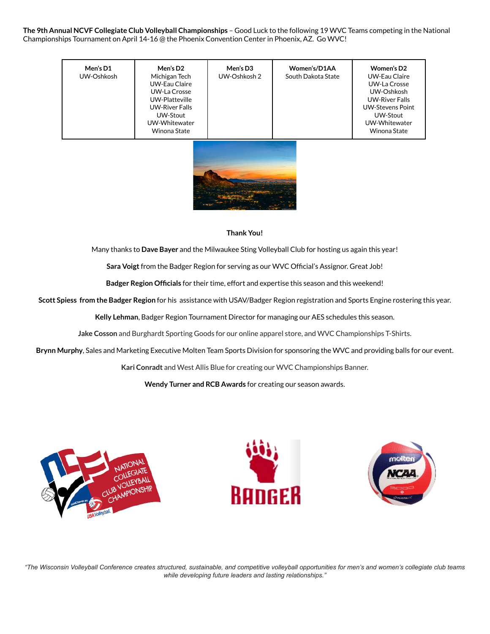**The 9th Annual NCVF Collegiate Club Volleyball Championships** – Good Luck to the following 19 WVC Teams competing in the National Championships Tournament on April 14-16 @ the Phoenix Convention Center in Phoenix, AZ. Go WVC!

| Men's D1<br>UW-Oshkosh | Men's D2<br>Michigan Tech<br>UW-Eau Claire<br>UW-La Crosse<br>UW-Platteville<br><b>UW-River Falls</b><br>UW-Stout<br>UW-Whitewater<br>Winona State | Men's D3<br>UW-Oshkosh 2 | Women's/D1AA<br>South Dakota State | Women's D <sub>2</sub><br>UW-Eau Claire<br>UW-La Crosse<br>UW-Oshkosh<br><b>UW-River Falls</b><br><b>UW-Stevens Point</b><br>UW-Stout<br>UW-Whitewater<br>Winona State |
|------------------------|----------------------------------------------------------------------------------------------------------------------------------------------------|--------------------------|------------------------------------|------------------------------------------------------------------------------------------------------------------------------------------------------------------------|
|                        |                                                                                                                                                    |                          |                                    |                                                                                                                                                                        |

#### **Thank You!**

Many thanks to **Dave Bayer** and the Milwaukee Sting Volleyball Club for hosting us again this year!

**Sara Voigt**from the Badger Region for serving as our WVC Official's Assignor. Great Job!

**Badger Region Officials** for their time, effort and expertise this season and this weekend!

**Scott Spiess from the Badger Region** for his assistance with USAV/Badger Region registration and Sports Engine rostering this year.

**Kelly Lehman**, Badger Region Tournament Director for managing our AES schedules this season.

**Jake Cosson** and Burghardt Sporting Goods for our online apparel store, and WVC Championships T-Shirts.

**Brynn Murphy**, Sales and Marketing Executive Molten Team Sports Division for sponsoring the WVC and providing balls for our event.

**Kari Conradt** and West Allis Blue for creating our WVC Championships Banner.

**Wendy Turner and RCB Awards** for creating our season awards.







"The Wisconsin Volleyball Conference creates structured, sustainable, and competitive volleyball opportunities for men's and women's collegiate club teams *while developing future leaders and lasting relationships."*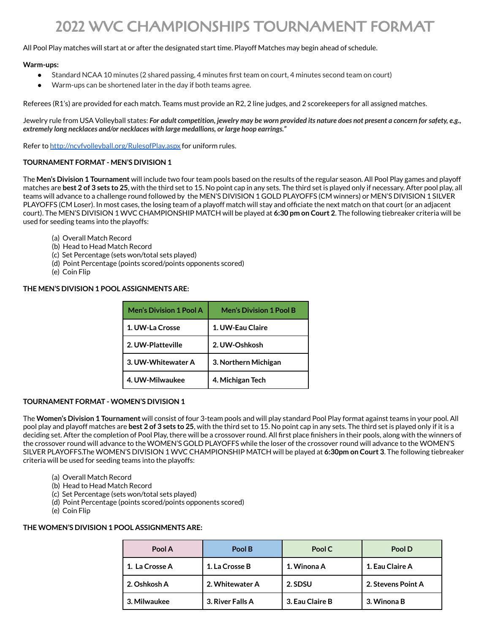## 2022 WVC CHAMPIONSHIPS TOURNAMENT FORMAT

## All Pool Play matches will start at or after the designated start time. Playoff Matches may begin ahead of schedule.

#### **Warm-ups:**

- Standard NCAA 10 minutes (2 shared passing, 4 minutes first team on court, 4 minutes second team on court)
- Warm-ups can be shortened later in the day if both teams agree.

Referees (R1's) are provided for each match. Teams must provide an R2, 2 line judges, and 2 scorekeepers for all assigned matches.

Jewelry rule from USA Volleyball states: For adult competition, jewelry may be worn provided its nature does not present a concern for safety, e.g., *extremely long necklaces and/or necklaces with large medallions, or large hoop earrings."*

Refer to <http://ncvfvolleyball.org/RulesofPlay.aspx> for uniform rules.

## **TOURNAMENT FORMAT - MEN'S DIVISION 1**

The **Men's Division 1 Tournament** will include two four team pools based on the results of the regular season. All Pool Play games and playoff matches are **best 2 of 3 sets to 25**, with the third set to 15. No point cap in any sets. The third set is played only if necessary. After pool play, all teams will advance to a challenge round followed by the MEN'S DIVISION 1 GOLD PLAYOFFS (CM winners) or MEN'S DIVISION 1 SILVER PLAYOFFS (CM Loser). In most cases, the losing team of a playoff match will stay and officiate the next match on that court (or an adjacent court). The MEN'S DIVISION 1 WVC CHAMPIONSHIP MATCH will be played at **6:30 pm on Court 2**. The following tiebreaker criteria will be used for seeding teams into the playoffs:

- (a) Overall Match Record
- (b) Head to Head Match Record
- (c) Set Percentage (sets won/total sets played)
- (d) Point Percentage (points scored/points opponents scored)
- (e) Coin Flip

### **THE MEN'S DIVISION 1 POOL ASSIGNMENTS ARE:**

| <b>Men's Division 1 Pool A</b> | <b>Men's Division 1 Pool B</b> |  |
|--------------------------------|--------------------------------|--|
| 1. UW-La Crosse                | 1. UW-Eau Claire               |  |
| 2. UW-Platteville              | 2. UW-Oshkosh                  |  |
| 3. UW-Whitewater A             | 3. Northern Michigan           |  |
| 4. UW-Milwaukee                | 4. Michigan Tech               |  |

#### **TOURNAMENT FORMAT - WOMEN'S DIVISION 1**

The **Women's Division 1 Tournament** will consist of four 3-team pools and will play standard Pool Play format against teams in your pool. All pool play and playoff matches are **best 2 of 3 sets to 25**, with the third set to 15. No point cap in any sets. The third set is played only if it is a deciding set. After the completion of Pool Play, there will be a crossover round. All first place finishers in their pools, along with the winners of the crossover round will advance to the WOMEN'S GOLD PLAYOFFS while the loser of the crossover round will advance to the WOMEN'S SILVER PLAYOFFS.The WOMEN'S DIVISION 1 WVC CHAMPIONSHIP MATCH will be played at **6:30pm on Court 3**. The following tiebreaker criteria will be used for seeding teams into the playoffs:

- (a) Overall Match Record
- (b) Head to Head Match Record
- (c) Set Percentage (sets won/total sets played)
- (d) Point Percentage (points scored/points opponents scored)
- (e) Coin Flip

#### **THE WOMEN'S DIVISION 1 POOL ASSIGNMENTS ARE:**

| Pool A         | Pool B           | Pool C          | Pool D             |
|----------------|------------------|-----------------|--------------------|
| 1. La Crosse A | 1. La Crosse B   | 1. Winona A     | 1. Eau Claire A    |
| 2. Oshkosh A   | 2. Whitewater A  | 2. SDSU         | 2. Stevens Point A |
| 3. Milwaukee   | 3. River Falls A | 3. Eau Claire B | 3. Winona B        |